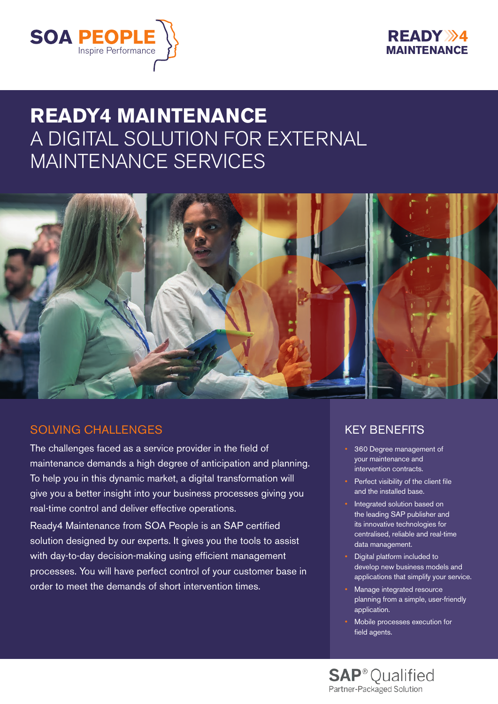



# **READY4 MAINTENANCE** A DIGITAL SOLUTION FOR EXTERNAL MAINTENANCE SERVICES



### SOLVING CHALL ENGES

The challenges faced as a service provider in the field of maintenance demands a high degree of anticipation and planning. To help you in this dynamic market, a digital transformation will give you a better insight into your business processes giving you real-time control and deliver effective operations.

Ready4 Maintenance from SOA People is an SAP certified solution designed by our experts. It gives you the tools to assist with day-to-day decision-making using efficient management processes. You will have perfect control of your customer base in order to meet the demands of short intervention times.

## KEY BENEFITS

- 360 Degree management of your maintenance and intervention contracts.
- Perfect visibility of the client file and the installed base.
- Integrated solution based on the leading SAP publisher and its innovative technologies for centralised, reliable and real-time data management.
- Digital platform included to develop new business models and applications that simplify your service.
- Manage integrated resource planning from a simple, user-friendly application.
- Mobile processes execution for field agents.

**SAP**<sup>®</sup> Qualified Partner-Packaged Solution